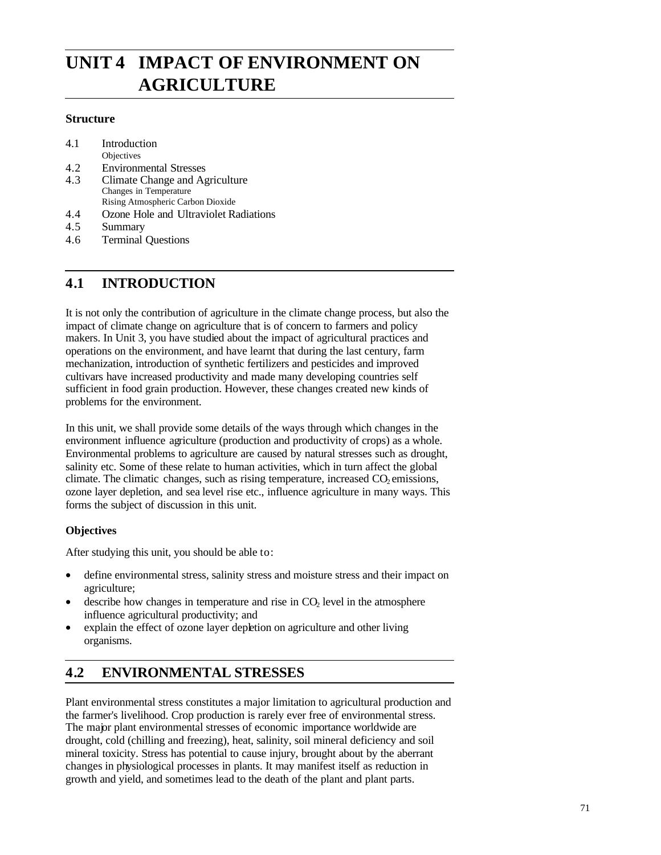# **UNIT 4 IMPACT OF ENVIRONMENT ON AGRICULTURE**

### **Structure**

| 4.1 | Introduction                          |
|-----|---------------------------------------|
|     | Objectives                            |
| 4.2 | <b>Environmental Stresses</b>         |
| 4.3 | Climate Change and Agriculture        |
|     | Changes in Temperature                |
|     | Rising Atmospheric Carbon Dioxide     |
| 4.4 | Ozone Hole and Ultraviolet Radiations |
| 4.5 | Summary                               |
|     |                                       |

#### 4.6 Terminal Questions

# **4.1 INTRODUCTION**

It is not only the contribution of agriculture in the climate change process, but also the impact of climate change on agriculture that is of concern to farmers and policy makers. In Unit 3, you have studied about the impact of agricultural practices and operations on the environment, and have learnt that during the last century, farm mechanization, introduction of synthetic fertilizers and pesticides and improved cultivars have increased productivity and made many developing countries self sufficient in food grain production. However, these changes created new kinds of problems for the environment.

In this unit, we shall provide some details of the ways through which changes in the environment influence agriculture (production and productivity of crops) as a whole. Environmental problems to agriculture are caused by natural stresses such as drought, salinity etc. Some of these relate to human activities, which in turn affect the global climate. The climatic changes, such as rising temperature, increased  $CO<sub>2</sub>$  emissions, ozone layer depletion, and sea level rise etc., influence agriculture in many ways. This forms the subject of discussion in this unit.

### **Objectives**

After studying this unit, you should be able to:

- define environmental stress, salinity stress and moisture stress and their impact on agriculture;
- describe how changes in temperature and rise in  $CO<sub>2</sub>$  level in the atmosphere influence agricultural productivity; and
- explain the effect of ozone layer depletion on agriculture and other living organisms.

# **4.2 ENVIRONMENTAL STRESSES**

Plant environmental stress constitutes a major limitation to agricultural production and the farmer's livelihood. Crop production is rarely ever free of environmental stress. The major plant environmental stresses of economic importance worldwide are drought, cold (chilling and freezing), heat, salinity, soil mineral deficiency and soil mineral toxicity. Stress has potential to cause injury, brought about by the aberrant changes in physiological processes in plants. It may manifest itself as reduction in growth and yield, and sometimes lead to the death of the plant and plant parts.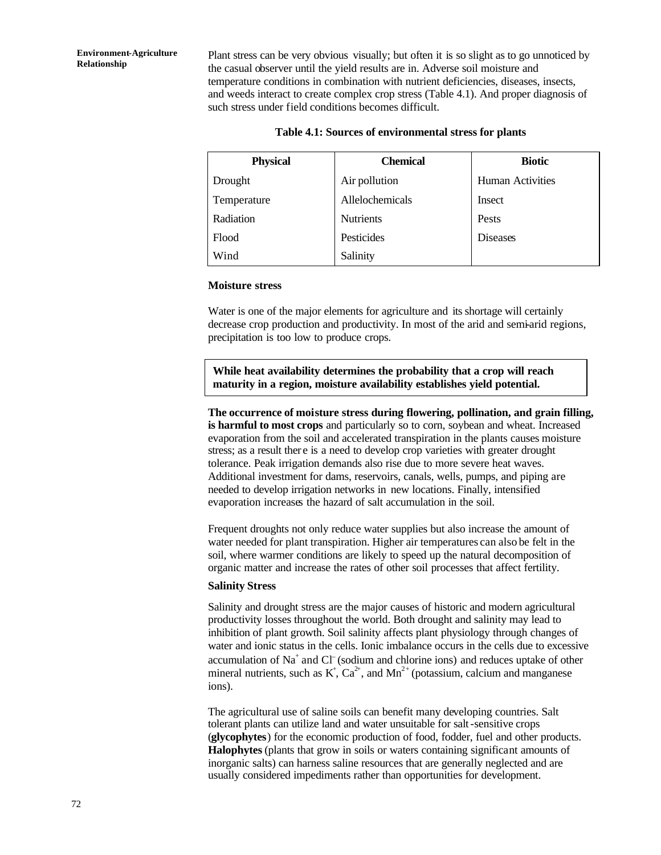Plant stress can be very obvious visually; but often it is so slight as to go unnoticed by the casual observer until the yield results are in. Adverse soil moisture and temperature conditions in combination with nutrient deficiencies, diseases, insects, and weeds interact to create complex crop stress (Table 4.1). And proper diagnosis of such stress under field conditions becomes difficult.

| <b>Physical</b> | <b>Chemical</b>  | <b>Biotic</b>           |  |
|-----------------|------------------|-------------------------|--|
| Drought         | Air pollution    | <b>Human Activities</b> |  |
| Temperature     | Allelochemicals  | Insect                  |  |
| Radiation       | <b>Nutrients</b> | Pests                   |  |
| Flood           | Pesticides       | <b>Diseases</b>         |  |
| Wind            | Salinity         |                         |  |

#### **Table 4.1: Sources of environmental stress for plants**

#### **Moisture stress**

Water is one of the major elements for agriculture and its shortage will certainly decrease crop production and productivity. In most of the arid and semi-arid regions, precipitation is too low to produce crops.

**While heat availability determines the probability that a crop will reach maturity in a region, moisture availability establishes yield potential.**

#### **The occurrence of moisture stress during flowering, pollination, and grain filling, is harmful to most crops** and particularly so to corn, soybean and wheat. Increased evaporation from the soil and accelerated transpiration in the plants causes moisture stress; as a result ther e is a need to develop crop varieties with greater drought tolerance. Peak irrigation demands also rise due to more severe heat waves. Additional investment for dams, reservoirs, canals, wells, pumps, and piping are needed to develop irrigation networks in new locations. Finally, intensified evaporation increases the hazard of salt accumulation in the soil.

Frequent droughts not only reduce water supplies but also increase the amount of water needed for plant transpiration. Higher air temperatures can also be felt in the soil, where warmer conditions are likely to speed up the natural decomposition of organic matter and increase the rates of other soil processes that affect fertility.

#### **Salinity Stress**

Salinity and drought stress are the major causes of historic and modern agricultural productivity losses throughout the world. Both drought and salinity may lead to inhibition of plant growth. Soil salinity affects plant physiology through changes of water and ionic status in the cells. Ionic imbalance occurs in the cells due to excessive accumulation of Na<sup>+</sup> and Cl<sup>−</sup> (sodium and chlorine ions) and reduces uptake of other mineral nutrients, such as  $K^+$ ,  $Ca^{2+}$ , and  $Mn^{2+}$  (potassium, calcium and manganese ions).

The agricultural use of saline soils can benefit many developing countries. Salt tolerant plants can utilize land and water unsuitable for salt-sensitive crops (**glycophytes**) for the economic production of food, fodder, fuel and other products. **Halophytes** (plants that grow in soils or waters containing significant amounts of inorganic salts) can harness saline resources that are generally neglected and are usually considered impediments rather than opportunities for development.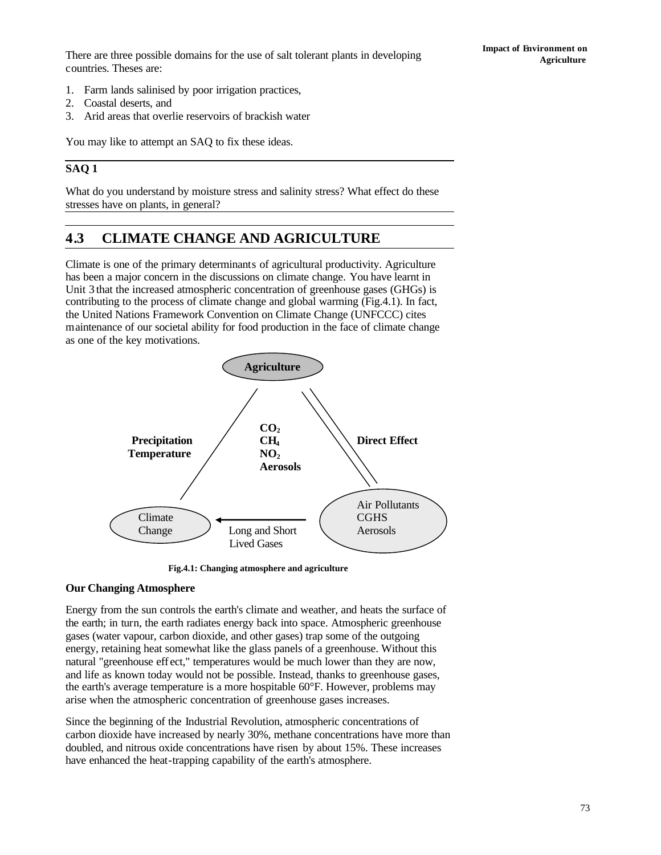There are three possible domains for the use of salt tolerant plants in developing countries. Theses are:

- 1. Farm lands salinised by poor irrigation practices,
- 2. Coastal deserts, and
- 3. Arid areas that overlie reservoirs of brackish water

You may like to attempt an SAQ to fix these ideas.

### **SAQ 1**

What do you understand by moisture stress and salinity stress? What effect do these stresses have on plants, in general?

# **4.3 CLIMATE CHANGE AND AGRICULTURE**

Climate is one of the primary determinants of agricultural productivity. Agriculture has been a major concern in the discussions on climate change. You have learnt in Unit 3 that the increased atmospheric concentration of greenhouse gases (GHGs) is contributing to the process of climate change and global warming (Fig.4.1). In fact, the United Nations Framework Convention on Climate Change (UNFCCC) cites maintenance of our societal ability for food production in the face of climate change as one of the key motivations.



**Fig.4.1: Changing atmosphere and agriculture**

### **Our Changing Atmosphere**

Energy from the sun controls the earth's climate and weather, and heats the surface of the earth; in turn, the earth radiates energy back into space. Atmospheric greenhouse gases (water vapour, carbon dioxide, and other gases) trap some of the outgoing energy, retaining heat somewhat like the glass panels of a greenhouse. Without this natural "greenhouse eff ect," temperatures would be much lower than they are now, and life as known today would not be possible. Instead, thanks to greenhouse gases, the earth's average temperature is a more hospitable 60°F. However, problems may arise when the atmospheric concentration of greenhouse gases increases.

Since the beginning of the Industrial Revolution, atmospheric concentrations of carbon dioxide have increased by nearly 30%, methane concentrations have more than doubled, and nitrous oxide concentrations have risen by about 15%. These increases have enhanced the heat-trapping capability of the earth's atmosphere.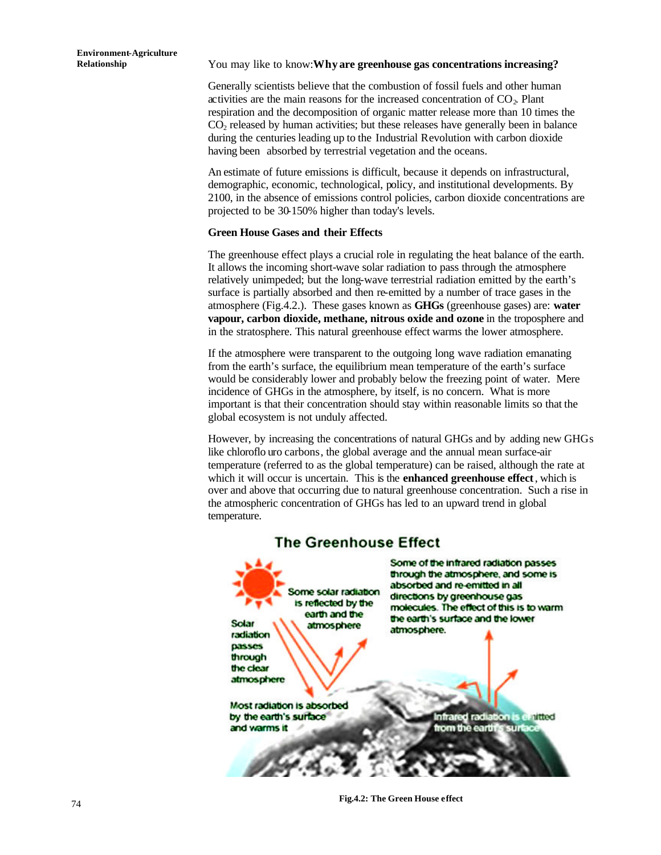#### **Relationship** You may like to know: **Why are greenhouse gas concentrations increasing?**

Generally scientists believe that the combustion of fossil fuels and other human activities are the main reasons for the increased concentration of  $CO<sub>2</sub>$ . Plant respiration and the decomposition of organic matter release more than 10 times the  $CO<sub>2</sub>$  released by human activities; but these releases have generally been in balance during the centuries leading up to the Industrial Revolution with carbon dioxide having been absorbed by terrestrial vegetation and the oceans.

An estimate of future emissions is difficult, because it depends on infrastructural, demographic, economic, technological, policy, and institutional developments. By 2100, in the absence of emissions control policies, carbon dioxide concentrations are projected to be 30-150% higher than today's levels.

#### **Green House Gases and their Effects**

The greenhouse effect plays a crucial role in regulating the heat balance of the earth. It allows the incoming short-wave solar radiation to pass through the atmosphere relatively unimpeded; but the long-wave terrestrial radiation emitted by the earth's surface is partially absorbed and then re-emitted by a number of trace gases in the atmosphere (Fig.4.2.). These gases known as **GHGs** (greenhouse gases) are: **water vapour, carbon dioxide, methane, nitrous oxide and ozone** in the troposphere and in the stratosphere. This natural greenhouse effect warms the lower atmosphere.

If the atmosphere were transparent to the outgoing long wave radiation emanating from the earth's surface, the equilibrium mean temperature of the earth's surface would be considerably lower and probably below the freezing point of water. Mere incidence of GHGs in the atmosphere, by itself, is no concern. What is more important is that their concentration should stay within reasonable limits so that the global ecosystem is not unduly affected.

However, by increasing the concentrations of natural GHGs and by adding new GHGs like chloroflo uro carbons, the global average and the annual mean surface-air temperature (referred to as the global temperature) can be raised, although the rate at which it will occur is uncertain. This is the **enhanced greenhouse effect**, which is over and above that occurring due to natural greenhouse concentration. Such a rise in the atmospheric concentration of GHGs has led to an upward trend in global temperature.



# **The Greenhouse Effect**

**Fig.4.2: The Green House effect**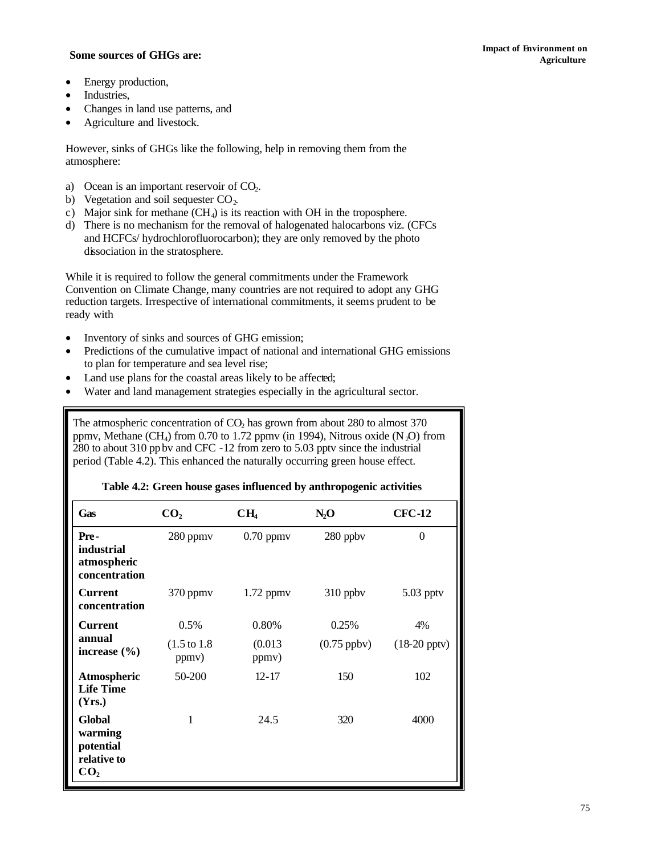# **Agriculture Some sources of GHGs are: Agriculture**

- Energy production,
- Industries,
- Changes in land use patterns, and
- Agriculture and livestock.

However, sinks of GHGs like the following, help in removing them from the atmosphere:

- a) Ocean is an important reservoir of  $CO<sub>2</sub>$ .
- b) Vegetation and soil sequester  $CO<sub>2</sub>$ .
- c) Major sink for methane  $(CH_4)$  is its reaction with OH in the troposphere.
- d) There is no mechanism for the removal of halogenated halocarbons viz. (CFCs and HCFCs/ hydrochlorofluorocarbon); they are only removed by the photo dissociation in the stratosphere.

While it is required to follow the general commitments under the Framework Convention on Climate Change, many countries are not required to adopt any GHG reduction targets. Irrespective of international commitments, it seems prudent to be ready with

- Inventory of sinks and sources of GHG emission;
- Predictions of the cumulative impact of national and international GHG emissions to plan for temperature and sea level rise;
- Land use plans for the coastal areas likely to be affected;
- Water and land management strategies especially in the agricultural sector.

The atmospheric concentration of  $CO<sub>2</sub>$  has grown from about 280 to almost 370 ppmv, Methane (CH<sub>4</sub>) from 0.70 to 1.72 ppmv (in 1994), Nitrous oxide (N<sub>2</sub>O) from 280 to about 310 ppbv and CFC -12 from zero to 5.03 pptv since the industrial period (Table 4.2). This enhanced the naturally occurring green house effect.

| Gas                                                                     | CO <sub>2</sub>                  | CH <sub>4</sub>  | $N_2$ O       | <b>CFC-12</b>     |
|-------------------------------------------------------------------------|----------------------------------|------------------|---------------|-------------------|
| Pre-<br>industrial<br>atmospheric<br>concentration                      | 280 ppmv                         | $0.70$ ppmv      | 280 ppbv      | $\theta$          |
| <b>Current</b><br>concentration                                         | $370$ ppm $v$                    | $1.72$ ppm $v$   | 310 ppbv      | $5.03$ pptv       |
| <b>Current</b>                                                          | 0.5%                             | 0.80%            | 0.25%         | 4%                |
| annual<br>increase $(\% )$                                              | $(1.5 \text{ to } 1.8)$<br>ppmv) | (0.013)<br>ppmv) | $(0.75$ ppby) | $(18-20$ pptv $)$ |
| Atmospheric<br><b>Life Time</b><br>(Yrs.)                               | 50-200                           | $12 - 17$        | 150           | 102               |
| <b>Global</b><br>warming<br>potential<br>relative to<br>CO <sub>2</sub> | 1                                | 24.5             | 320           | 4000              |

#### **Table 4.2: Green house gases influenced by anthropogenic activities**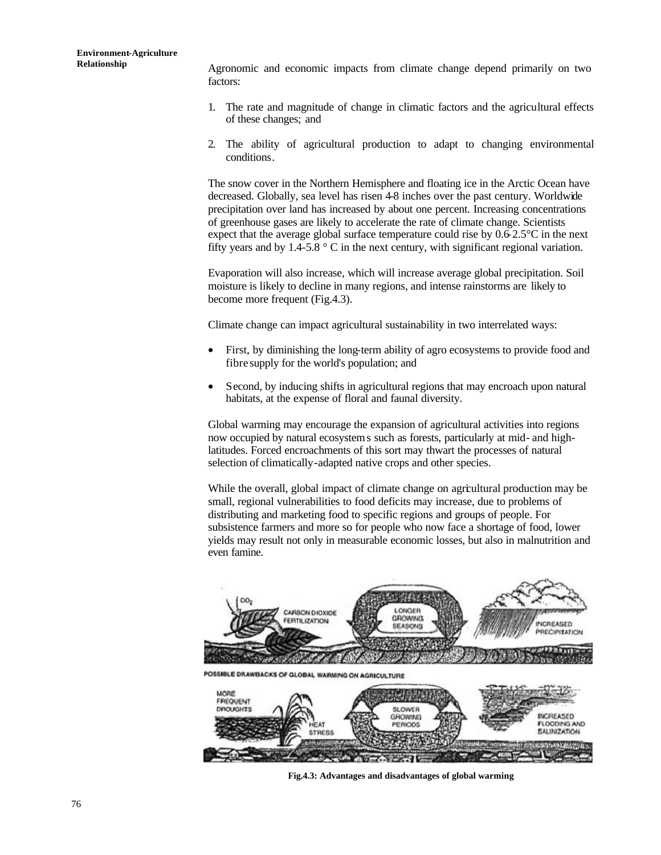**Relationship** Agronomic and economic impacts from climate change depend primarily on two factors:

- 1. The rate and magnitude of change in climatic factors and the agricultural effects of these changes; and
- 2. The ability of agricultural production to adapt to changing environmental conditions.

The snow cover in the Northern Hemisphere and floating ice in the Arctic Ocean have decreased. Globally, sea level has risen 4-8 inches over the past century. Worldwide precipitation over land has increased by about one percent. Increasing concentrations of greenhouse gases are likely to accelerate the rate of climate change. Scientists expect that the average global surface temperature could rise by 0.6-2.5°C in the next fifty years and by 1.4-5.8  $\degree$  C in the next century, with significant regional variation.

Evaporation will also increase, which will increase average global precipitation. Soil moisture is likely to decline in many regions, and intense rainstorms are likely to become more frequent (Fig.4.3).

Climate change can impact agricultural sustainability in two interrelated ways:

- First, by diminishing the long-term ability of agro ecosystems to provide food and fibre supply for the world's population; and
- Second, by inducing shifts in agricultural regions that may encroach upon natural habitats, at the expense of floral and faunal diversity.

Global warming may encourage the expansion of agricultural activities into regions now occupied by natural ecosystems such as forests, particularly at mid- and highlatitudes. Forced encroachments of this sort may thwart the processes of natural selection of climatically-adapted native crops and other species.

While the overall, global impact of climate change on agricultural production may be small, regional vulnerabilities to food deficits may increase, due to problems of distributing and marketing food to specific regions and groups of people. For subsistence farmers and more so for people who now face a shortage of food, lower yields may result not only in measurable economic losses, but also in malnutrition and even famine.



**Fig.4.3: Advantages and disadvantages of global warming**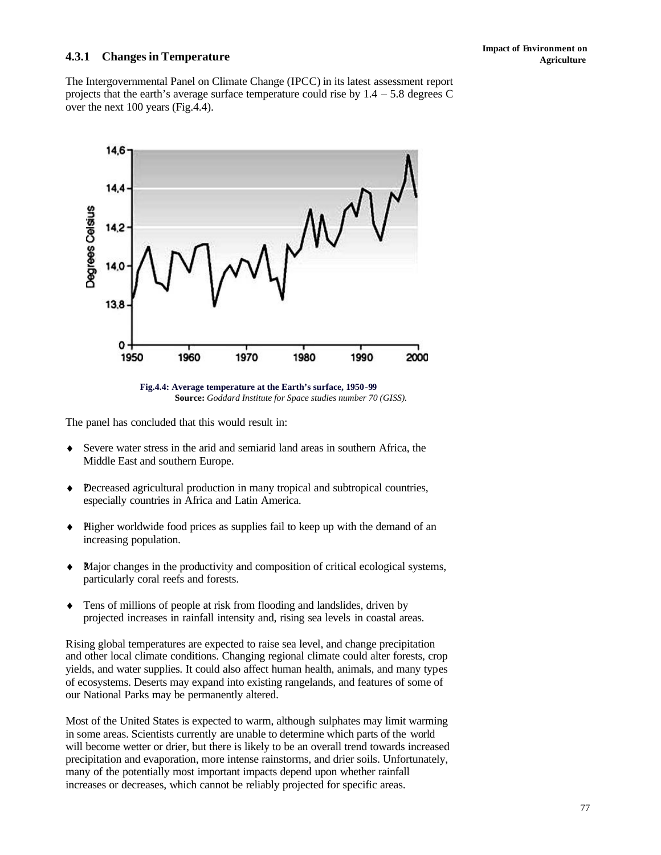# **4.3.1 Changes in Temperature Agriculture**

The Intergovernmental Panel on Climate Change (IPCC) in its latest assessment report projects that the earth's average surface temperature could rise by  $1.4 - 5.8$  degrees C over the next 100 years (Fig.4.4).



**Fig.4.4: Average temperature at the Earth's surface, 1950-99** **Source:** *Goddard Institute for Space studies number 70 (GISS).*

The panel has concluded that this would result in:

- ♦ Severe water stress in the arid and semiarid land areas in southern Africa, the Middle East and southern Europe.
- ♦ ?Decreased agricultural production in many tropical and subtropical countries, especially countries in Africa and Latin America.
- ♦ ?Higher worldwide food prices as supplies fail to keep up with the demand of an increasing population.
- $\blacklozenge$  Major changes in the productivity and composition of critical ecological systems, particularly coral reefs and forests.
- ♦ Tens of millions of people at risk from flooding and landslides, driven by projected increases in rainfall intensity and, rising sea levels in coastal areas.

Rising global temperatures are expected to raise sea level, and change precipitation and other local climate conditions. Changing regional climate could alter forests, crop yields, and water supplies. It could also affect human health, animals, and many types of ecosystems. Deserts may expand into existing rangelands, and features of some of our National Parks may be permanently altered.

Most of the United States is expected to warm, although sulphates may limit warming in some areas. Scientists currently are unable to determine which parts of the world will become wetter or drier, but there is likely to be an overall trend towards increased precipitation and evaporation, more intense rainstorms, and drier soils. Unfortunately, many of the potentially most important impacts depend upon whether rainfall increases or decreases, which cannot be reliably projected for specific areas.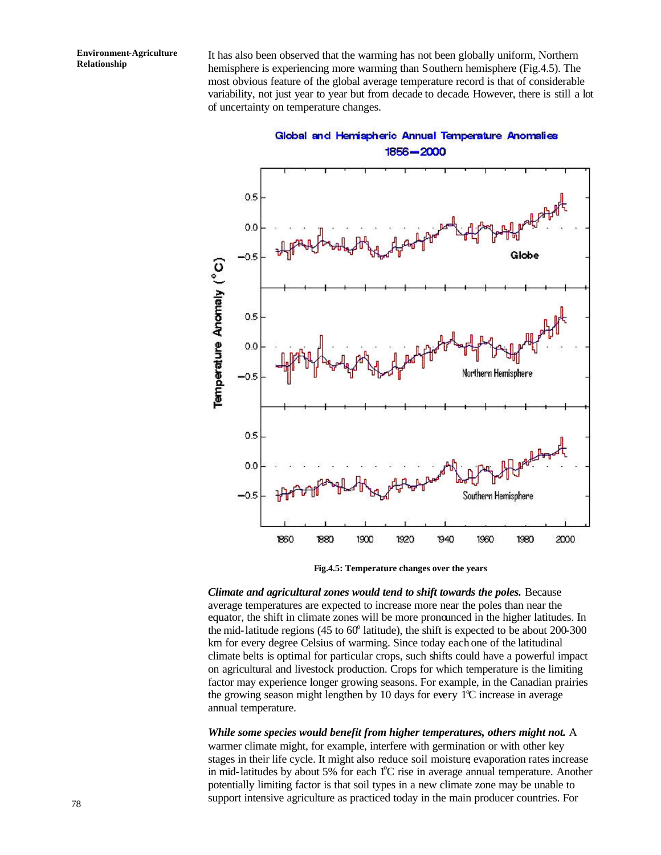It has also been observed that the warming has not been globally uniform, Northern hemisphere is experiencing more warming than Southern hemisphere (Fig.4.5). The most obvious feature of the global average temperature record is that of considerable variability, not just year to year but from decade to decade. However, there is still a lot of uncertainty on temperature changes.



Global and Hemispheric Annual Temperature Anomalies

**Fig.4.5: Temperature changes over the years**

*Climate and agricultural zones would tend to shift towards the poles.* Because average temperatures are expected to increase more near the poles than near the equator, the shift in climate zones will be more pronounced in the higher latitudes. In the mid-latitude regions  $(45 \text{ to } 60^{\circ} \text{ latitude})$ , the shift is expected to be about  $200\text{-}300$ km for every degree Celsius of warming. Since today each one of the latitudinal climate belts is optimal for particular crops, such shifts could have a powerful impact on agricultural and livestock production. Crops for which temperature is the limiting factor may experience longer growing seasons. For example, in the Canadian prairies the growing season might lengthen by 10 days for every  $1^{\circ}$ C increase in average annual temperature.

*While some species would benefit from higher temperatures, others might not.* A warmer climate might, for example, interfere with germination or with other key stages in their life cycle. It might also reduce soil moisture; evaporation rates increase in mid-latitudes by about 5% for each  $1^{\circ}$ C rise in average annual temperature. Another potentially limiting factor is that soil types in a new climate zone may be unable to support intensive agriculture as practiced today in the main producer countries. For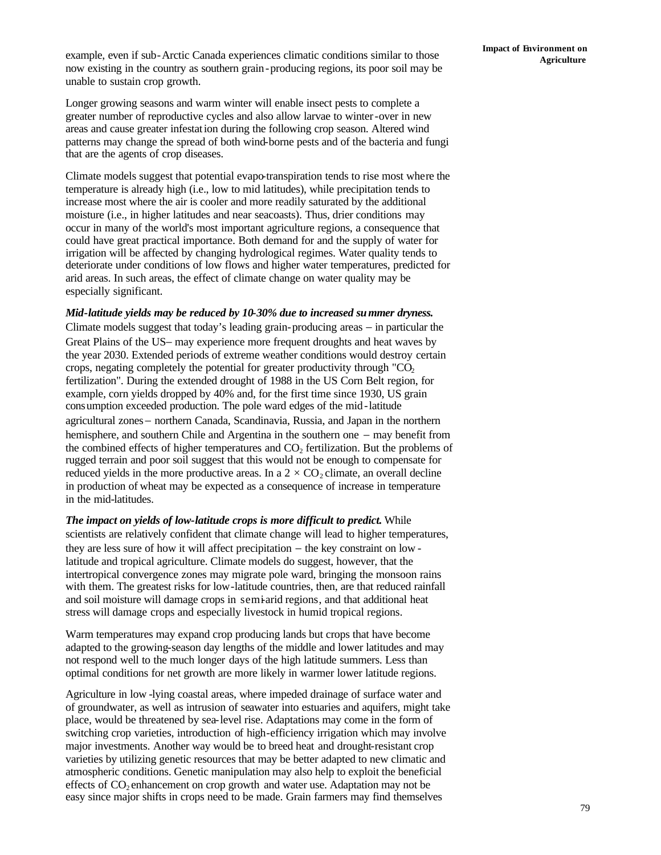example, even if sub-Arctic Canada experiences climatic conditions similar to those now existing in the country as southern grain-producing regions, its poor soil may be unable to sustain crop growth.

Longer growing seasons and warm winter will enable insect pests to complete a greater number of reproductive cycles and also allow larvae to winter-over in new areas and cause greater infestation during the following crop season. Altered wind patterns may change the spread of both wind-borne pests and of the bacteria and fungi that are the agents of crop diseases.

Climate models suggest that potential evapo-transpiration tends to rise most where the temperature is already high (i.e., low to mid latitudes), while precipitation tends to increase most where the air is cooler and more readily saturated by the additional moisture (i.e., in higher latitudes and near seacoasts). Thus, drier conditions may occur in many of the world's most important agriculture regions, a consequence that could have great practical importance. Both demand for and the supply of water for irrigation will be affected by changing hydrological regimes. Water quality tends to deteriorate under conditions of low flows and higher water temperatures, predicted for arid areas. In such areas, the effect of climate change on water quality may be especially significant.

#### *Mid-latitude yields may be reduced by 10-30% due to increased summer dryness.*

Climate models suggest that today's leading grain-producing areas − in particular the Great Plains of the US− may experience more frequent droughts and heat waves by the year 2030. Extended periods of extreme weather conditions would destroy certain crops, negating completely the potential for greater productivity through " $CO<sub>2</sub>$ fertilization". During the extended drought of 1988 in the US Corn Belt region, for example, corn yields dropped by 40% and, for the first time since 1930, US grain consumption exceeded production. The pole ward edges of the mid-latitude agricultural zones− northern Canada, Scandinavia, Russia, and Japan in the northern hemisphere, and southern Chile and Argentina in the southern one − may benefit from the combined effects of higher temperatures and  $CO<sub>2</sub>$  fertilization. But the problems of rugged terrain and poor soil suggest that this would not be enough to compensate for reduced yields in the more productive areas. In a  $2 \times CO_2$  climate, an overall decline in production of wheat may be expected as a consequence of increase in temperature in the mid-latitudes.

*The impact on yields of low-latitude crops is more difficult to predict.* While scientists are relatively confident that climate change will lead to higher temperatures, they are less sure of how it will affect precipitation − the key constraint on low latitude and tropical agriculture. Climate models do suggest, however, that the intertropical convergence zones may migrate pole ward, bringing the monsoon rains with them. The greatest risks for low-latitude countries, then, are that reduced rainfall and soil moisture will damage crops in semi-arid regions, and that additional heat stress will damage crops and especially livestock in humid tropical regions.

Warm temperatures may expand crop producing lands but crops that have become adapted to the growing-season day lengths of the middle and lower latitudes and may not respond well to the much longer days of the high latitude summers. Less than optimal conditions for net growth are more likely in warmer lower latitude regions.

Agriculture in low -lying coastal areas, where impeded drainage of surface water and of groundwater, as well as intrusion of seawater into estuaries and aquifers, might take place, would be threatened by sea-level rise. Adaptations may come in the form of switching crop varieties, introduction of high-efficiency irrigation which may involve major investments. Another way would be to breed heat and drought-resistant crop varieties by utilizing genetic resources that may be better adapted to new climatic and atmospheric conditions. Genetic manipulation may also help to exploit the beneficial effects of  $CO<sub>2</sub>$  enhancement on crop growth and water use. Adaptation may not be easy since major shifts in crops need to be made. Grain farmers may find themselves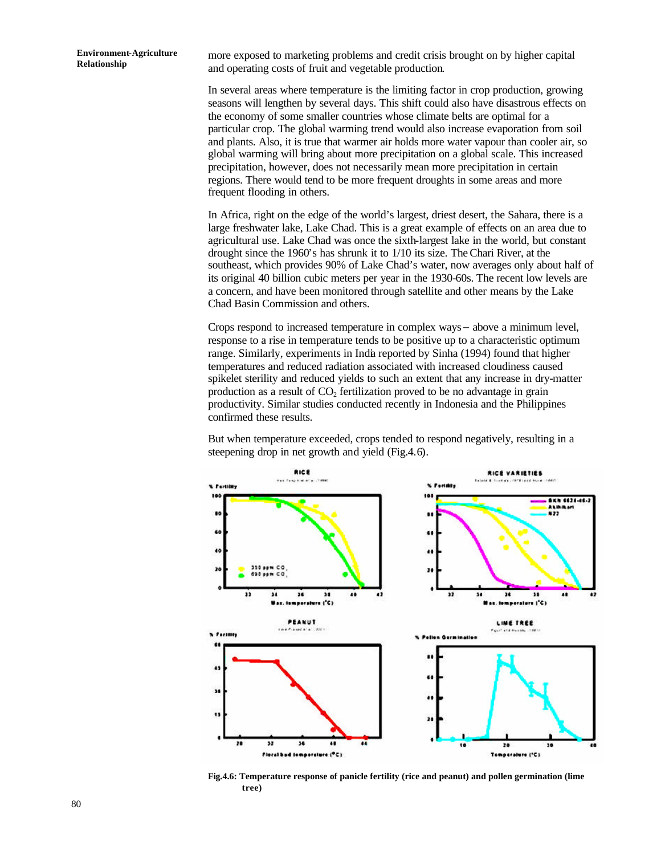more exposed to marketing problems and credit crisis brought on by higher capital and operating costs of fruit and vegetable production.

In several areas where temperature is the limiting factor in crop production, growing seasons will lengthen by several days. This shift could also have disastrous effects on the economy of some smaller countries whose climate belts are optimal for a particular crop. The global warming trend would also increase evaporation from soil and plants. Also, it is true that warmer air holds more water vapour than cooler air, so global warming will bring about more precipitation on a global scale. This increased precipitation, however, does not necessarily mean more precipitation in certain regions. There would tend to be more frequent droughts in some areas and more frequent flooding in others.

In Africa, right on the edge of the world's largest, driest desert, the Sahara, there is a large freshwater lake, Lake Chad. This is a great example of effects on an area due to agricultural use. Lake Chad was once the sixth-largest lake in the world, but constant drought since the 1960's has shrunk it to 1/10 its size. The Chari River, at the southeast, which provides 90% of Lake Chad's water, now averages only about half of its original 40 billion cubic meters per year in the 1930-60s. The recent low levels are a concern, and have been monitored through satellite and other means by the Lake Chad Basin Commission and others.

Crops respond to increased temperature in complex ways− above a minimum level, response to a rise in temperature tends to be positive up to a characteristic optimum range. Similarly, experiments in India reported by Sinha (1994) found that higher temperatures and reduced radiation associated with increased cloudiness caused spikelet sterility and reduced yields to such an extent that any increase in dry-matter production as a result of  $CO<sub>2</sub>$  fertilization proved to be no advantage in grain productivity. Similar studies conducted recently in Indonesia and the Philippines confirmed these results.

But when temperature exceeded, crops tended to respond negatively, resulting in a steepening drop in net growth and yield (Fig.4.6).



**Fig.4.6: Temperature response of panicle fertility (rice and peanut) and pollen germination (lime tree)**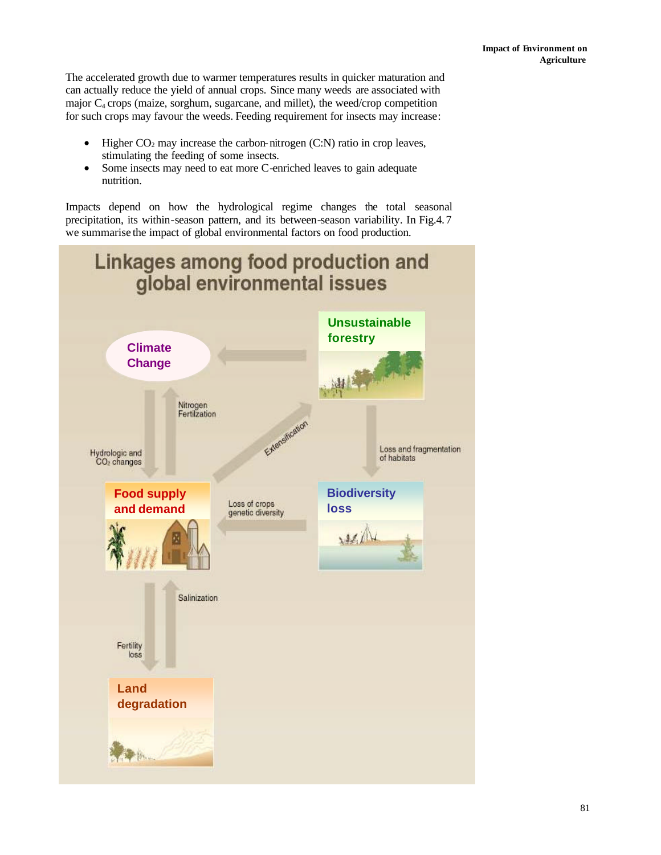The accelerated growth due to warmer temperatures results in quicker maturation and can actually reduce the yield of annual crops. Since many weeds are associated with major  $C_4$  crops (maize, sorghum, sugarcane, and millet), the weed/crop competition for such crops may favour the weeds. Feeding requirement for insects may increase:

- Higher  $CO<sub>2</sub>$  may increase the carbon-nitrogen (C:N) ratio in crop leaves, stimulating the feeding of some insects.
- Some insects may need to eat more C-enriched leaves to gain adequate nutrition.

Impacts depend on how the hydrological regime changes the total seasonal precipitation, its within-season pattern, and its between-season variability. In Fig.4.7 we summarise the impact of global environmental factors on food production.

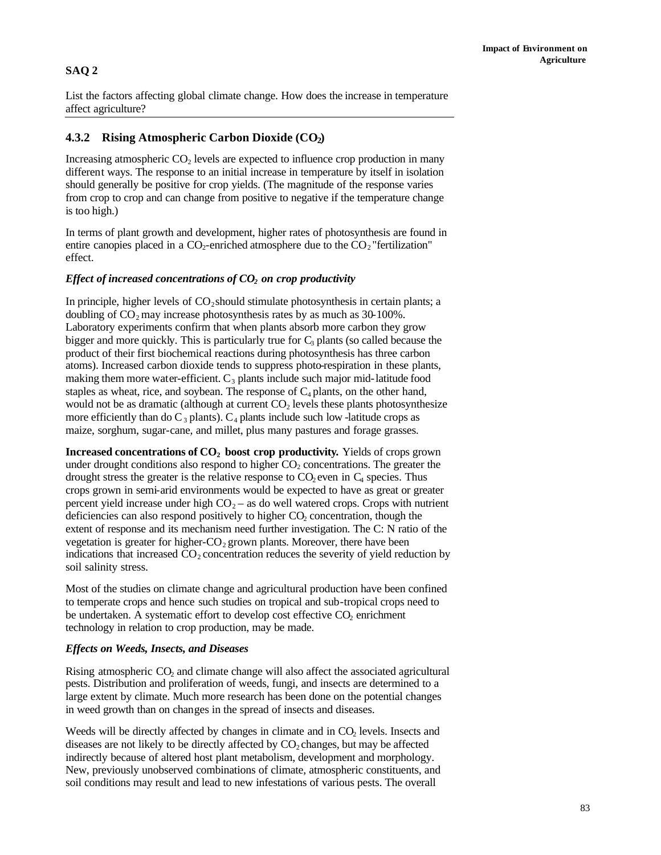# **SAQ 2**

List the factors affecting global climate change. How does the increase in temperature affect agriculture?

## **4.3.2 Rising Atmospheric Carbon Dioxide (CO2)**

Increasing atmospheric  $CO<sub>2</sub>$  levels are expected to influence crop production in many different ways. The response to an initial increase in temperature by itself in isolation should generally be positive for crop yields. (The magnitude of the response varies from crop to crop and can change from positive to negative if the temperature change is too high.)

In terms of plant growth and development, higher rates of photosynthesis are found in entire canopies placed in a  $CO<sub>2</sub>$ -enriched atmosphere due to the  $CO<sub>2</sub>$ "fertilization" effect.

#### *Effect of increased concentrations of CO2 on crop productivity*

In principle, higher levels of  $CO_2$  should stimulate photosynthesis in certain plants; a doubling of  $CO<sub>2</sub>$  may increase photosynthesis rates by as much as 30-100%. Laboratory experiments confirm that when plants absorb more carbon they grow bigger and more quickly. This is particularly true for  $C_3$  plants (so called because the product of their first biochemical reactions during photosynthesis has three carbon atoms). Increased carbon dioxide tends to suppress photo-respiration in these plants, making them more water-efficient.  $C_3$  plants include such major mid-latitude food staples as wheat, rice, and soybean. The response of  $C_4$  plants, on the other hand, would not be as dramatic (although at current  $CO<sub>2</sub>$  levels these plants photosynthesize more efficiently than do  $C_3$  plants).  $C_4$  plants include such low -latitude crops as maize, sorghum, sugar-cane, and millet, plus many pastures and forage grasses.

**Increased concentrations of CO2 boost crop productivity.** Yields of crops grown under drought conditions also respond to higher  $CO<sub>2</sub>$  concentrations. The greater the drought stress the greater is the relative response to  $CO<sub>2</sub>$  even in  $C<sub>4</sub>$  species. Thus crops grown in semi-arid environments would be expected to have as great or greater percent yield increase under high  $CO<sub>2</sub> -$  as do well watered crops. Crops with nutrient deficiencies can also respond positively to higher  $CO<sub>2</sub>$  concentration, though the extent of response and its mechanism need further investigation. The C: N ratio of the vegetation is greater for higher- $CO<sub>2</sub>$  grown plants. Moreover, there have been indications that increased  $CO_2$  concentration reduces the severity of yield reduction by soil salinity stress.

Most of the studies on climate change and agricultural production have been confined to temperate crops and hence such studies on tropical and sub-tropical crops need to be undertaken. A systematic effort to develop cost effective CO<sub>2</sub> enrichment technology in relation to crop production, may be made.

#### *Effects on Weeds, Insects, and Diseases*

Rising atmospheric  $CO<sub>2</sub>$  and climate change will also affect the associated agricultural pests. Distribution and proliferation of weeds, fungi, and insects are determined to a large extent by climate. Much more research has been done on the potential changes in weed growth than on changes in the spread of insects and diseases.

Weeds will be directly affected by changes in climate and in  $CO<sub>2</sub>$  levels. Insects and diseases are not likely to be directly affected by  $CO<sub>2</sub>$  changes, but may be affected indirectly because of altered host plant metabolism, development and morphology. New, previously unobserved combinations of climate, atmospheric constituents, and soil conditions may result and lead to new infestations of various pests. The overall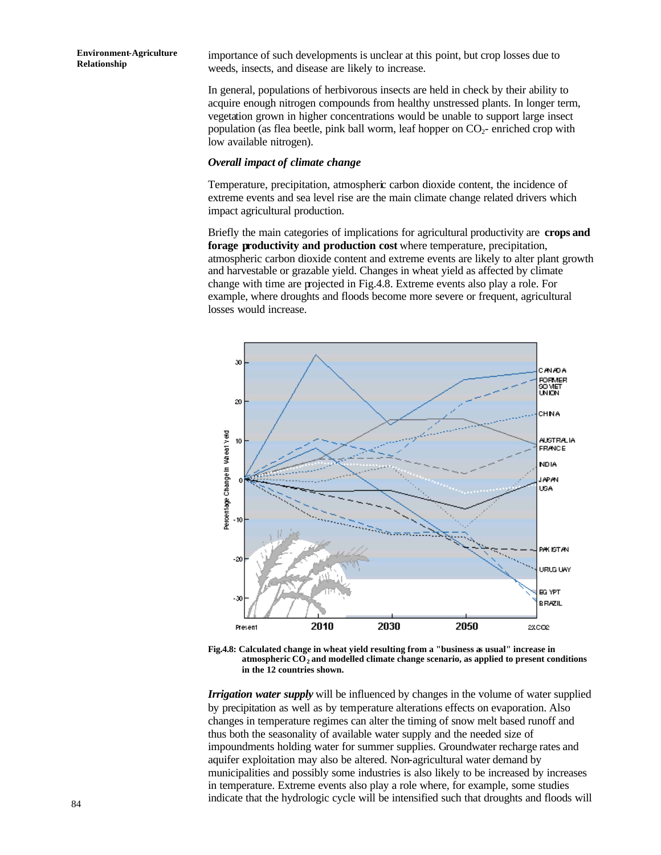importance of such developments is unclear at this point, but crop losses due to weeds, insects, and disease are likely to increase.

In general, populations of herbivorous insects are held in check by their ability to acquire enough nitrogen compounds from healthy unstressed plants. In longer term, vegetation grown in higher concentrations would be unable to support large insect population (as flea beetle, pink ball worm, leaf hopper on  $CO<sub>2</sub>$ - enriched crop with low available nitrogen).

#### *Overall impact of climate change*

Temperature, precipitation, atmospheric carbon dioxide content, the incidence of extreme events and sea level rise are the main climate change related drivers which impact agricultural production.

Briefly the main categories of implications for agricultural productivity are **crops and forage productivity and production cost** where temperature, precipitation, atmospheric carbon dioxide content and extreme events are likely to alter plant growth and harvestable or grazable yield. Changes in wheat yield as affected by climate change with time are projected in Fig.4.8. Extreme events also play a role. For example, where droughts and floods become more severe or frequent, agricultural losses would increase.



**Fig.4.8: Calculated change in wheat yield resulting from a "business as usual" increase in atmospheric CO<sup>2</sup> and modelled climate change scenario, as applied to present conditions in the 12 countries shown.** 

*Irrigation water supply* will be influenced by changes in the volume of water supplied by precipitation as well as by temperature alterations effects on evaporation. Also changes in temperature regimes can alter the timing of snow melt based runoff and thus both the seasonality of available water supply and the needed size of impoundments holding water for summer supplies. Groundwater recharge rates and aquifer exploitation may also be altered. Non-agricultural water demand by municipalities and possibly some industries is also likely to be increased by increases in temperature. Extreme events also play a role where, for example, some studies indicate that the hydrologic cycle will be intensified such that droughts and floods will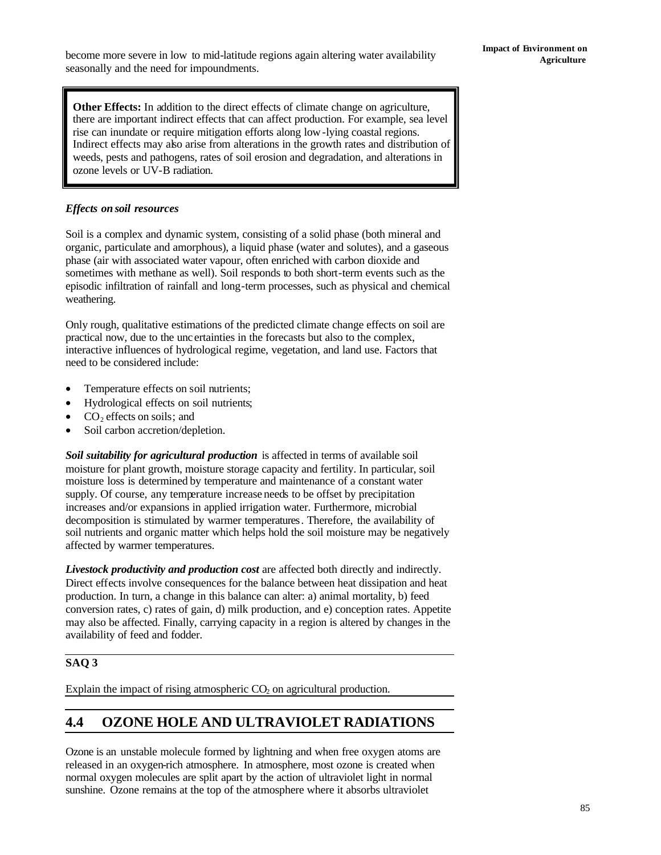become more severe in low to mid-latitude regions again altering water availability **Agriculture** seasonally and the need for impoundments.

**Other Effects:** In addition to the direct effects of climate change on agriculture, there are important indirect effects that can affect production. For example, sea level rise can inundate or require mitigation efforts along low-lying coastal regions. Indirect effects may also arise from alterations in the growth rates and distribution of weeds, pests and pathogens, rates of soil erosion and degradation, and alterations in ozone levels or UV-B radiation.

### *Effects on soil resources*

Soil is a complex and dynamic system, consisting of a solid phase (both mineral and organic, particulate and amorphous), a liquid phase (water and solutes), and a gaseous phase (air with associated water vapour, often enriched with carbon dioxide and sometimes with methane as well). Soil responds to both short-term events such as the episodic infiltration of rainfall and long-term processes, such as physical and chemical weathering.

Only rough, qualitative estimations of the predicted climate change effects on soil are practical now, due to the unc ertainties in the forecasts but also to the complex, interactive influences of hydrological regime, vegetation, and land use. Factors that need to be considered include:

- Temperature effects on soil nutrients;
- Hydrological effects on soil nutrients;
- $CO<sub>2</sub>$  effects on soils; and
- Soil carbon accretion/depletion.

*Soil suitability for agricultural production* is affected in terms of available soil moisture for plant growth, moisture storage capacity and fertility. In particular, soil moisture loss is determined by temperature and maintenance of a constant water supply. Of course, any temperature increase needs to be offset by precipitation increases and/or expansions in applied irrigation water. Furthermore, microbial decomposition is stimulated by warmer temperatures. Therefore, the availability of soil nutrients and organic matter which helps hold the soil moisture may be negatively affected by warmer temperatures.

*Livestock productivity and production cost* are affected both directly and indirectly. Direct effects involve consequences for the balance between heat dissipation and heat production. In turn, a change in this balance can alter: a) animal mortality, b) feed conversion rates, c) rates of gain, d) milk production, and e) conception rates. Appetite may also be affected. Finally, carrying capacity in a region is altered by changes in the availability of feed and fodder.

# **SAQ 3**

Explain the impact of rising atmospheric  $CO<sub>2</sub>$  on agricultural production.

# **4.4 OZONE HOLE AND ULTRAVIOLET RADIATIONS**

Ozone is an unstable molecule formed by lightning and when free oxygen atoms are released in an oxygen-rich atmosphere. In atmosphere, most ozone is created when normal oxygen molecules are split apart by the action of ultraviolet light in normal sunshine. Ozone remains at the top of the atmosphere where it absorbs ultraviolet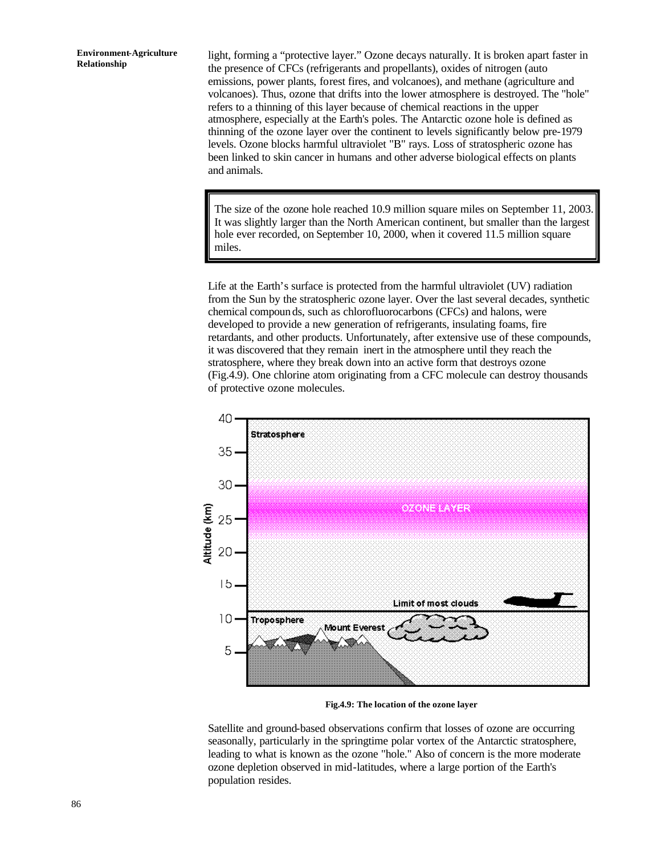light, forming a "protective layer." Ozone decays naturally. It is broken apart faster in the presence of CFCs (refrigerants and propellants), oxides of nitrogen (auto emissions, power plants, forest fires, and volcanoes), and methane (agriculture and volcanoes). Thus, ozone that drifts into the lower atmosphere is destroyed. The "hole" refers to a thinning of this layer because of chemical reactions in the upper atmosphere, especially at the Earth's poles. The Antarctic ozone hole is defined as thinning of the ozone layer over the continent to levels significantly below pre-1979 levels. Ozone blocks harmful ultraviolet "B" rays. Loss of stratospheric ozone has been linked to skin cancer in humans and other adverse biological effects on plants and animals.

The size of the ozone hole reached 10.9 million square miles on September 11, 2003. It was slightly larger than the North American continent, but smaller than the largest hole ever recorded, on September 10, 2000, when it covered 11.5 million square miles.

Life at the Earth's surface is protected from the harmful ultraviolet (UV) radiation from the Sun by the stratospheric ozone layer. Over the last several decades, synthetic chemical compounds, such as chlorofluorocarbons (CFCs) and halons, were developed to provide a new generation of refrigerants, insulating foams, fire retardants, and other products. Unfortunately, after extensive use of these compounds, it was discovered that they remain inert in the atmosphere until they reach the stratosphere, where they break down into an active form that destroys ozone (Fig.4.9). One chlorine atom originating from a CFC molecule can destroy thousands of protective ozone molecules.



**Fig.4.9: The location of the ozone layer**

Satellite and ground-based observations confirm that losses of ozone are occurring seasonally, particularly in the springtime polar vortex of the Antarctic stratosphere, leading to what is known as the ozone "hole." Also of concern is the more moderate ozone depletion observed in mid-latitudes, where a large portion of the Earth's population resides.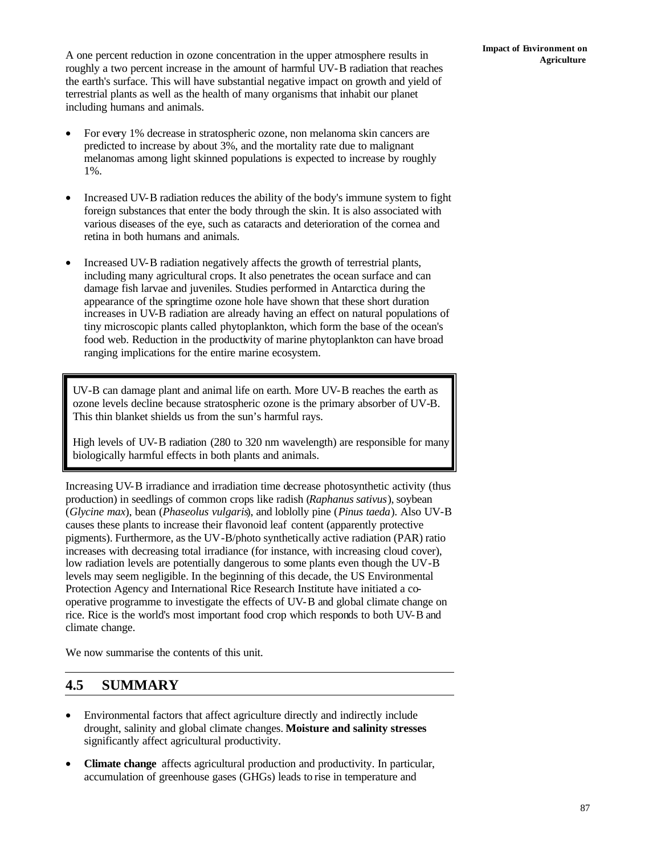A one percent reduction in ozone concentration in the upper atmosphere results in **Agriculture Agriculture** roughly a two percent increase in the amount of harmful UV-B radiation that reaches the earth's surface. This will have substantial negative impact on growth and yield of terrestrial plants as well as the health of many organisms that inhabit our planet including humans and animals.

- For every 1% decrease in stratospheric ozone, non melanoma skin cancers are predicted to increase by about 3%, and the mortality rate due to malignant melanomas among light skinned populations is expected to increase by roughly 1%.
- Increased UV-B radiation reduces the ability of the body's immune system to fight foreign substances that enter the body through the skin. It is also associated with various diseases of the eye, such as cataracts and deterioration of the cornea and retina in both humans and animals.
- Increased UV-B radiation negatively affects the growth of terrestrial plants, including many agricultural crops. It also penetrates the ocean surface and can damage fish larvae and juveniles. Studies performed in Antarctica during the appearance of the springtime ozone hole have shown that these short duration increases in UV-B radiation are already having an effect on natural populations of tiny microscopic plants called phytoplankton, which form the base of the ocean's food web. Reduction in the productivity of marine phytoplankton can have broad ranging implications for the entire marine ecosystem.

UV-B can damage plant and animal life on earth. More UV-B reaches the earth as ozone levels decline because stratospheric ozone is the primary absorber of UV-B. This thin blanket shields us from the sun's harmful rays.

High levels of UV-B radiation (280 to 320 nm wavelength) are responsible for many biologically harmful effects in both plants and animals.

Increasing UV-B irradiance and irradiation time decrease photosynthetic activity (thus production) in seedlings of common crops like radish (*Raphanus sativus*), soybean (*Glycine max*), bean (*Phaseolus vulgaris*), and loblolly pine (*Pinus taeda*). Also UV-B causes these plants to increase their flavonoid leaf content (apparently protective pigments). Furthermore, as the UV-B/photo synthetically active radiation (PAR) ratio increases with decreasing total irradiance (for instance, with increasing cloud cover), low radiation levels are potentially dangerous to some plants even though the UV-B levels may seem negligible. In the beginning of this decade, the US Environmental Protection Agency and International Rice Research Institute have initiated a cooperative programme to investigate the effects of UV-B and global climate change on rice. Rice is the world's most important food crop which responds to both UV-B and climate change.

We now summarise the contents of this unit.

# **4.5 SUMMARY**

- Environmental factors that affect agriculture directly and indirectly include drought, salinity and global climate changes. **Moisture and salinity stresses** significantly affect agricultural productivity.
- **Climate change** affects agricultural production and productivity. In particular, accumulation of greenhouse gases (GHGs) leads to rise in temperature and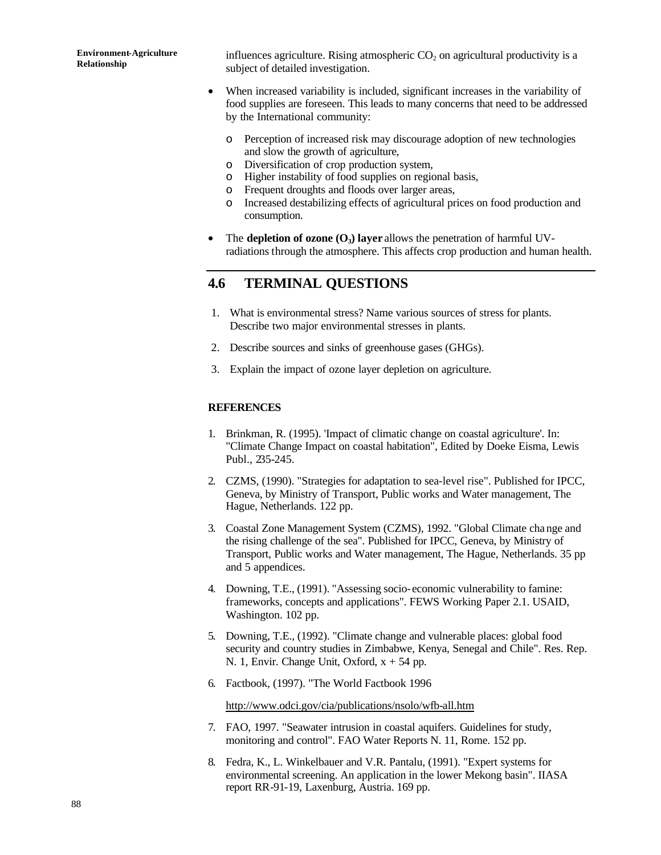influences agriculture. Rising atmospheric  $CO<sub>2</sub>$  on agricultural productivity is a subject of detailed investigation.

- When increased variability is included, significant increases in the variability of food supplies are foreseen. This leads to many concerns that need to be addressed by the International community:
	- o Perception of increased risk may discourage adoption of new technologies and slow the growth of agriculture,
	- o Diversification of crop production system,
	- o Higher instability of food supplies on regional basis,
	- o Frequent droughts and floods over larger areas,
	- o Increased destabilizing effects of agricultural prices on food production and consumption.
- The **depletion of ozone (O<sub>3</sub>) layer** allows the penetration of harmful UVradiations through the atmosphere. This affects crop production and human health.

# **4.6 TERMINAL QUESTIONS**

- 1. What is environmental stress? Name various sources of stress for plants. Describe two major environmental stresses in plants.
- 2. Describe sources and sinks of greenhouse gases (GHGs).
- 3. Explain the impact of ozone layer depletion on agriculture.

#### **REFERENCES**

- 1. Brinkman, R. (1995). 'Impact of climatic change on coastal agriculture'. In: "Climate Change Impact on coastal habitation", Edited by Doeke Eisma, Lewis Publ., 235-245.
- 2. CZMS, (1990). "Strategies for adaptation to sea-level rise". Published for IPCC, Geneva, by Ministry of Transport, Public works and Water management, The Hague, Netherlands. 122 pp.
- 3. Coastal Zone Management System (CZMS), 1992. "Global Climate cha nge and the rising challenge of the sea". Published for IPCC, Geneva, by Ministry of Transport, Public works and Water management, The Hague, Netherlands. 35 pp and 5 appendices.
- 4. Downing, T.E., (1991). "Assessing socio-economic vulnerability to famine: frameworks, concepts and applications". FEWS Working Paper 2.1. USAID, Washington. 102 pp.
- 5. Downing, T.E., (1992). "Climate change and vulnerable places: global food security and country studies in Zimbabwe, Kenya, Senegal and Chile". Res. Rep. N. 1, Envir. Change Unit, Oxford,  $x + 54$  pp.
- 6. Factbook, (1997). "The World Factbook 1996

http://www.odci.gov/cia/publications/nsolo/wfb-all.htm

- 7. FAO, 1997. "Seawater intrusion in coastal aquifers. Guidelines for study, monitoring and control". FAO Water Reports N. 11, Rome. 152 pp.
- 8. Fedra, K., L. Winkelbauer and V.R. Pantalu, (1991). "Expert systems for environmental screening. An application in the lower Mekong basin". IIASA report RR-91-19, Laxenburg, Austria. 169 pp.